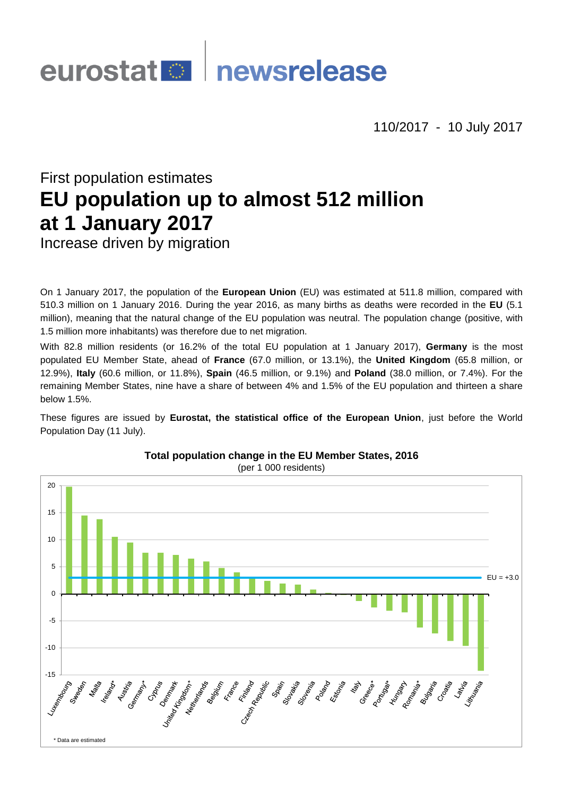# newsrelease eurostat<sup>o</sup>

110/2017 - 10 July 2017

# First population estimates **EU population up to almost 512 million at 1 January 2017** Increase driven by migration

On 1 January 2017, the population of the **European Union** (EU) was estimated at 511.8 million, compared with 510.3 million on 1 January 2016. During the year 2016, as many births as deaths were recorded in the **EU** (5.1 million), meaning that the natural change of the EU population was neutral. The population change (positive, with 1.5 million more inhabitants) was therefore due to net migration.

With 82.8 million residents (or 16.2% of the total EU population at 1 January 2017), **Germany** is the most populated EU Member State, ahead of **France** (67.0 million, or 13.1%), the **United Kingdom** (65.8 million, or 12.9%), **Italy** (60.6 million, or 11.8%), **Spain** (46.5 million, or 9.1%) and **Poland** (38.0 million, or 7.4%). For the remaining Member States, nine have a share of between 4% and 1.5% of the EU population and thirteen a share below 1.5%.

These figures are issued by **Eurostat, the statistical office of the European Union**, just before the World Population Day (11 July).



# **Total population change in the EU Member States, 2016**

(per 1 000 residents)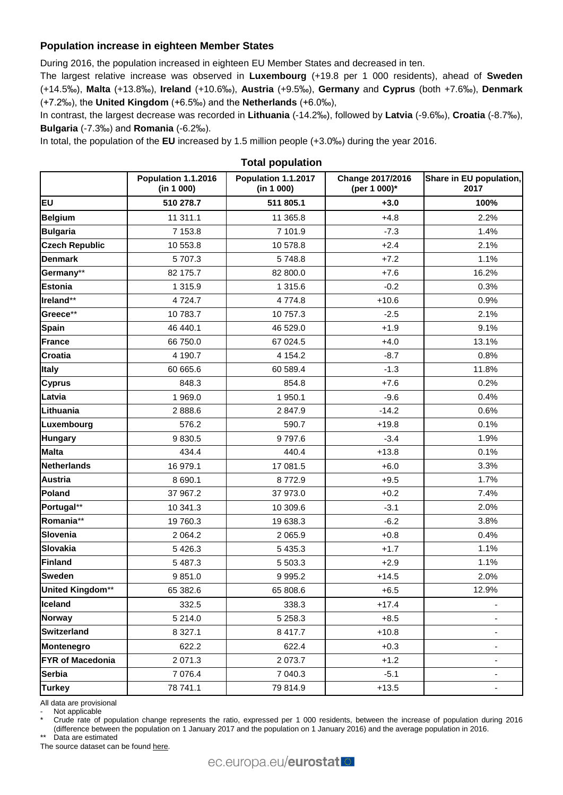## **Population increase in eighteen Member States**

During 2016, the population increased in eighteen EU Member States and decreased in ten.

The largest relative increase was observed in **Luxembourg** (+19.8 per 1 000 residents), ahead of **Sweden** (+14.5‰), **Malta** (+13.8‰), **Ireland** (+10.6‰), **Austria** (+9.5‰), **Germany** and **Cyprus** (both +7.6‰), **Denmark** (+7.2‰), the **United Kingdom** (+6.5‰) and the **Netherlands** (+6.0‰),

In contrast, the largest decrease was recorded in **Lithuania** (-14.2‰), followed by **Latvia** (-9.6‰), **Croatia** (-8.7‰), **Bulgaria** (-7.3‰) and **Romania** (-6.2‰).

In total, the population of the **EU** increased by 1.5 million people (+3.0‰) during the year 2016.

|                         | Population 1.1.2016<br>(in 1 000) | Population 1.1.2017<br>(in 1 000) | Change 2017/2016<br>(per 1 000)* | Share in EU population,<br>2017 |
|-------------------------|-----------------------------------|-----------------------------------|----------------------------------|---------------------------------|
| <b>EU</b>               | 510 278.7                         | 511 805.1                         | $+3.0$                           | 100%                            |
| <b>Belgium</b>          | 11 311.1                          | 11 365.8                          | $+4.8$                           | 2.2%                            |
| <b>Bulgaria</b>         | 7 153.8                           | 7 101.9                           | $-7.3$                           | 1.4%                            |
| <b>Czech Republic</b>   | 10 553.8                          | 10 578.8                          | $+2.4$                           | 2.1%                            |
| <b>Denmark</b>          | 5 707.3                           | 5748.8                            | $+7.2$                           | 1.1%                            |
| Germany**               | 82 175.7                          | 82 800.0                          | $+7.6$                           | 16.2%                           |
| <b>Estonia</b>          | 1 3 1 5 .9                        | 1 3 1 5 . 6                       | $-0.2$                           | 0.3%                            |
| Ireland**               | 4724.7                            | 4774.8                            | $+10.6$                          | 0.9%                            |
| Greece**                | 10 783.7                          | 10 757.3                          | $-2.5$                           | 2.1%                            |
| <b>Spain</b>            | 46 440.1                          | 46 529.0                          | $+1.9$                           | 9.1%                            |
| <b>France</b>           | 66 750.0                          | 67 024.5                          | $+4.0$                           | 13.1%                           |
| <b>Croatia</b>          | 4 190.7                           | 4 1 5 4 .2                        | $-8.7$                           | 0.8%                            |
| <b>Italy</b>            | 60 665.6                          | 60 589.4                          | $-1.3$                           | 11.8%                           |
| <b>Cyprus</b>           | 848.3                             | 854.8                             | $+7.6$                           | 0.2%                            |
| Latvia                  | 1 969.0                           | 1950.1                            | $-9.6$                           | 0.4%                            |
| Lithuania               | 2888.6                            | 2847.9                            | $-14.2$                          | 0.6%                            |
| Luxembourg              | 576.2                             | 590.7                             | $+19.8$                          | 0.1%                            |
| <b>Hungary</b>          | 9830.5                            | 9797.6                            | $-3.4$                           | 1.9%                            |
| <b>Malta</b>            | 434.4                             | 440.4                             | $+13.8$                          | 0.1%                            |
| <b>Netherlands</b>      | 16 979.1                          | 17 081.5                          | $+6.0$                           | 3.3%                            |
| <b>Austria</b>          | 8 690.1                           | 8772.9                            | $+9.5$                           | 1.7%                            |
| Poland                  | 37 967.2                          | 37 973.0                          | $+0.2$                           | 7.4%                            |
| Portugal**              | 10 341.3                          | 10 309.6                          | $-3.1$                           | 2.0%                            |
| Romania**               | 19 760.3                          | 19 638.3                          | $-6.2$                           | 3.8%                            |
| Slovenia                | 2 0 64.2                          | 2 0 6 5.9                         | $+0.8$                           | 0.4%                            |
| Slovakia                | 5 4 2 6.3                         | 5 4 3 5.3                         | $+1.7$                           | 1.1%                            |
| Finland                 | 5 487.3                           | 5 503.3                           | $+2.9$                           | 1.1%                            |
| <b>Sweden</b>           | 9851.0                            | 9 9 9 5.2                         | $+14.5$                          | 2.0%                            |
| United Kingdom**        | 65 382.6                          | 65 808.6                          | $+6.5$                           | 12.9%                           |
| <b>Iceland</b>          | 332.5                             | 338.3                             | $+17.4$                          |                                 |
| <b>Norway</b>           | 5 214.0                           | 5 2 5 8 . 3                       | $+8.5$                           |                                 |
| <b>Switzerland</b>      | 8 3 2 7.1                         | 8 4 1 7.7                         | $+10.8$                          |                                 |
| Montenegro              | 622.2                             | 622.4                             | $+0.3$                           | -                               |
| <b>FYR of Macedonia</b> | 2 071.3                           | 2073.7                            | $+1.2$                           |                                 |
| <b>Serbia</b>           | 7 0 7 6.4                         | 7 040.3                           | $-5.1$                           | -                               |
| <b>Turkey</b>           | 78 741.1                          | 79 814.9                          | $+13.5$                          |                                 |

**Total population**

All data are provisional

Not applicable

Crude rate of population change represents the ratio, expressed per 1 000 residents, between the increase of population during 2016 (difference between the population on 1 January 2017 and the population on 1 January 2016) and the average population in 2016.

Data are estimated

The source dataset can be foun[d here.](http://appsso.eurostat.ec.europa.eu/nui/show.do?query=BOOKMARK_DS-054722_QID_-433CD987_UID_-3F171EB0&layout=INDIC_DE,L,X,0;TIME,C,X,1;GEO,L,Y,0;INDICATORS,C,Z,0;&zSelection=DS-054722INDICATORS,OBS_FLAG;&rankName1=INDICATORS_1_2_-1_2&rankName2=INDIC-DE_1_2_0_0&rankName3=TIME_1_0_1_0&rankName4=GEO_1_2_0_1&rStp=&cStp=&rDCh=&cDCh=&rDM=true&cDM=true&footnes=false&empty=false&wai=false&time_mode=ROLLING&time_most_recent=true&lang=EN&cfo=%23%23%23%2C%23%23%23.%23%23%23)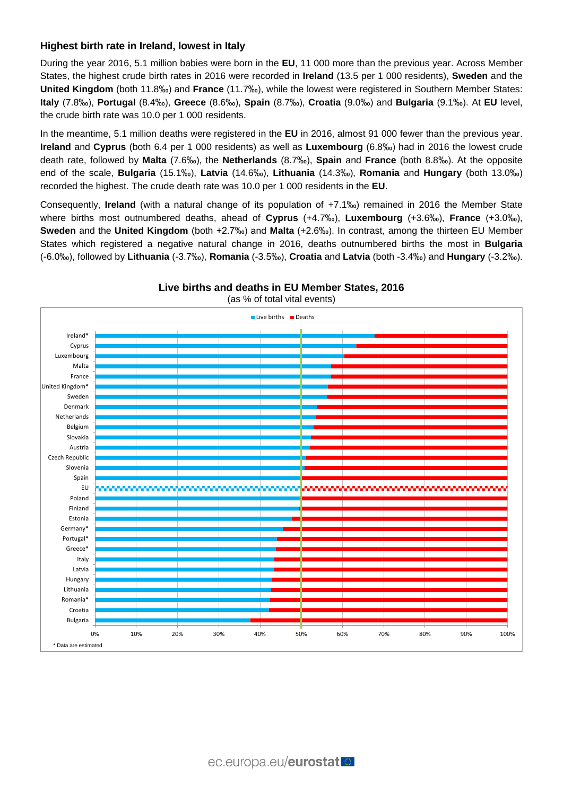### **Highest birth rate in Ireland, lowest in Italy**

During the year 2016, 5.1 million babies were born in the **EU**, 11 000 more than the previous year. Across Member States, the highest crude birth rates in 2016 were recorded in **Ireland** (13.5 per 1 000 residents), **Sweden** and the **United Kingdom** (both 11.8‰) and **France** (11.7‰), while the lowest were registered in Southern Member States: **Italy** (7.8‰), **Portugal** (8.4‰), **Greece** (8.6‰), **Spain** (8.7‰), **Croatia** (9.0‰) and **Bulgaria** (9.1‰). At **EU** level, the crude birth rate was 10.0 per 1 000 residents.

In the meantime, 5.1 million deaths were registered in the **EU** in 2016, almost 91 000 fewer than the previous year. **Ireland** and **Cyprus** (both 6.4 per 1 000 residents) as well as **Luxembourg** (6.8‰) had in 2016 the lowest crude death rate, followed by **Malta** (7.6‰), the **Netherlands** (8.7‰), **Spain** and **France** (both 8.8‰). At the opposite end of the scale, **Bulgaria** (15.1‰), **Latvia** (14.6‰), **Lithuania** (14.3‰), **Romania** and **Hungary** (both 13.0‰) recorded the highest. The crude death rate was 10.0 per 1 000 residents in the **EU**.

Consequently, **Ireland** (with a natural change of its population of +7.1‰) remained in 2016 the Member State where births most outnumbered deaths, ahead of **Cyprus** (+4.7‰), **Luxembourg** (+3.6‰), **France** (+3.0‰), **Sweden** and the **United Kingdom** (both +2.7‰) and **Malta** (+2.6‰). In contrast, among the thirteen EU Member States which registered a negative natural change in 2016, deaths outnumbered births the most in **Bulgaria** (-6.0‰), followed by **Lithuania** (-3.7‰), **Romania** (-3.5‰), **Croatia** and **Latvia** (both -3.4‰) and **Hungary** (-3.2‰).



**Live births and deaths in EU Member States, 2016**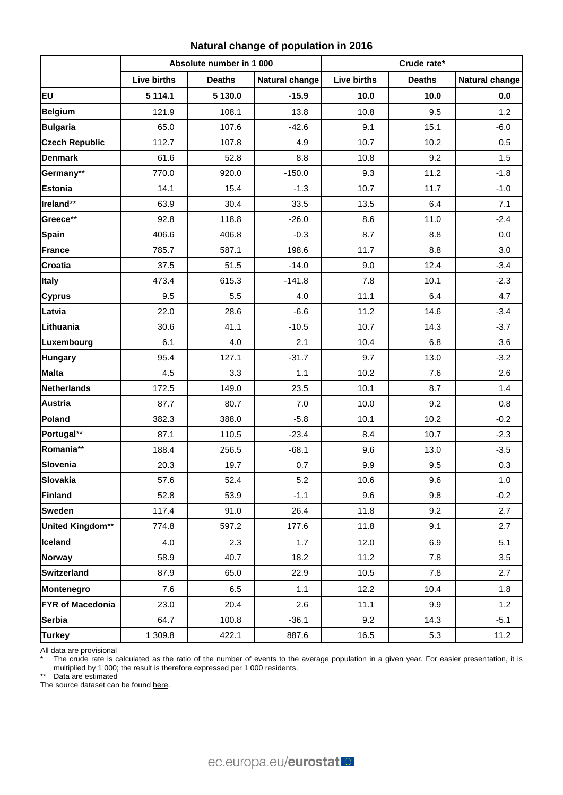## **Natural change of population in 2016**

|                         | Absolute number in 1 000 |               |                       | Crude rate*        |               |                       |
|-------------------------|--------------------------|---------------|-----------------------|--------------------|---------------|-----------------------|
|                         | <b>Live births</b>       | <b>Deaths</b> | <b>Natural change</b> | <b>Live births</b> | <b>Deaths</b> | <b>Natural change</b> |
| <b>EU</b>               | 5 1 1 4 . 1              | 5 130.0       | $-15.9$               | 10.0               | 10.0          | 0.0                   |
| <b>Belgium</b>          | 121.9                    | 108.1         | 13.8                  | 10.8               | 9.5           | 1.2                   |
| <b>Bulgaria</b>         | 65.0                     | 107.6         | $-42.6$               | 9.1                | 15.1          | $-6.0$                |
| <b>Czech Republic</b>   | 112.7                    | 107.8         | 4.9                   | 10.7               | 10.2          | 0.5                   |
| <b>Denmark</b>          | 61.6                     | 52.8          | 8.8                   | 10.8               | 9.2           | 1.5                   |
| Germany**               | 770.0                    | 920.0         | $-150.0$              | 9.3                | 11.2          | $-1.8$                |
| <b>Estonia</b>          | 14.1                     | 15.4          | $-1.3$                | 10.7               | 11.7          | $-1.0$                |
| Ireland**               | 63.9                     | 30.4          | 33.5                  | 13.5               | 6.4           | 7.1                   |
| Greece**                | 92.8                     | 118.8         | $-26.0$               | 8.6                | 11.0          | $-2.4$                |
| <b>Spain</b>            | 406.6                    | 406.8         | $-0.3$                | 8.7                | 8.8           | 0.0                   |
| <b>France</b>           | 785.7                    | 587.1         | 198.6                 | 11.7               | 8.8           | 3.0                   |
| <b>Croatia</b>          | 37.5                     | 51.5          | $-14.0$               | 9.0                | 12.4          | $-3.4$                |
| <b>Italy</b>            | 473.4                    | 615.3         | $-141.8$              | 7.8                | 10.1          | $-2.3$                |
| <b>Cyprus</b>           | 9.5                      | 5.5           | 4.0                   | 11.1               | 6.4           | 4.7                   |
| Latvia                  | 22.0                     | 28.6          | $-6.6$                | 11.2               | 14.6          | $-3.4$                |
| Lithuania               | 30.6                     | 41.1          | $-10.5$               | 10.7               | 14.3          | $-3.7$                |
| Luxembourg              | 6.1                      | 4.0           | 2.1                   | 10.4               | 6.8           | 3.6                   |
| <b>Hungary</b>          | 95.4                     | 127.1         | $-31.7$               | 9.7                | 13.0          | $-3.2$                |
| <b>Malta</b>            | 4.5                      | 3.3           | 1.1                   | 10.2               | 7.6           | 2.6                   |
| <b>Netherlands</b>      | 172.5                    | 149.0         | 23.5                  | 10.1               | 8.7           | 1.4                   |
| <b>Austria</b>          | 87.7                     | 80.7          | 7.0                   | 10.0               | 9.2           | 0.8                   |
| Poland                  | 382.3                    | 388.0         | $-5.8$                | 10.1               | 10.2          | $-0.2$                |
| Portugal**              | 87.1                     | 110.5         | $-23.4$               | 8.4                | 10.7          | $-2.3$                |
| Romania**               | 188.4                    | 256.5         | $-68.1$               | 9.6                | 13.0          | $-3.5$                |
| Slovenia                | 20.3                     | 19.7          | 0.7                   | 9.9                | 9.5           | 0.3                   |
| Slovakia                | 57.6                     | 52.4          | 5.2                   | 10.6               | 9.6           | 1.0                   |
| <b>Finland</b>          | 52.8                     | 53.9          | $-1.1$                | 9.6                | 9.8           | $-0.2$                |
| <b>Sweden</b>           | 117.4                    | 91.0          | 26.4                  | 11.8               | 9.2           | 2.7                   |
| United Kingdom**        | 774.8                    | 597.2         | 177.6                 | 11.8               | 9.1           | 2.7                   |
| Iceland                 | 4.0                      | 2.3           | 1.7                   | 12.0               | 6.9           | 5.1                   |
| <b>Norway</b>           | 58.9                     | 40.7          | 18.2                  | 11.2               | 7.8           | 3.5                   |
| <b>Switzerland</b>      | 87.9                     | 65.0          | 22.9                  | 10.5               | 7.8           | 2.7                   |
| Montenegro              | 7.6                      | 6.5           | 1.1                   | 12.2               | 10.4          | 1.8                   |
| <b>FYR of Macedonia</b> | 23.0                     | 20.4          | 2.6                   | 11.1               | 9.9           | 1.2                   |
| <b>Serbia</b>           | 64.7                     | 100.8         | $-36.1$               | 9.2                | 14.3          | $-5.1$                |
| <b>Turkey</b>           | 1 309.8                  | 422.1         | 887.6                 | 16.5               | 5.3           | 11.2                  |

All data are provisional

\* The crude rate is calculated as the ratio of the number of events to the average population in a given year. For easier presentation, it is multiplied by 1 000; the result is therefore expressed per 1 000 residents.

\*\* Data are estimated

The source dataset can be foun[d here.](http://appsso.eurostat.ec.europa.eu/nui/show.do?query=BOOKMARK_DS-054722_QID_-13C86606_UID_-3F171EB0&layout=INDIC_DE,L,X,0;TIME,C,X,1;GEO,L,Y,0;INDICATORS,C,Z,0;&zSelection=DS-054722INDICATORS,OBS_FLAG;&rankName1=INDICATORS_1_2_-1_2&rankName2=INDIC-DE_1_2_0_0&rankName3=TIME_1_0_1_0&rankName4=GEO_1_2_0_1&rStp=&cStp=&rDCh=&cDCh=&rDM=true&cDM=true&footnes=false&empty=false&wai=false&time_mode=ROLLING&time_most_recent=true&lang=EN&cfo=%23%23%23%2C%23%23%23.%23%23%23)